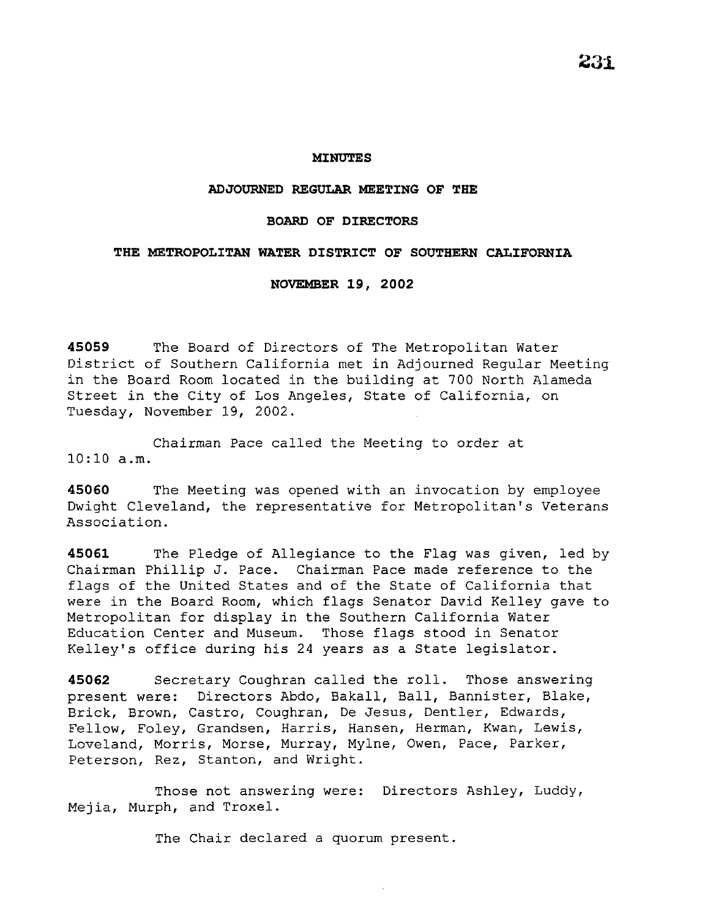### **MINUTES**

### **ADJOURNED REGULAR MEETING OF THE**

### **BOARD OF DIRECTORS**

## **THE METROPOLITAN WATER DISTRICT OF SOUTHERN CALIFORNIA**

**NOVEMBER 19, 2002** 

**45059** The Board of Directors of The Metropolitan Water District of Southern California met in Adjourned Regular Meeting in the Board Room located in the building at 700 North Alameda Street in the City of Los Angeles, State of California, on Tuesday, November 19, 2002.

Chairman Pace called the Meeting to order at 10:10 a.m.

**45060** The Meeting was opened with an invocation by employee Dwight Cleveland, the representative for Metropolitan's Veterans Association.

**45061** The Pledge of Allegiance to the Flag was given, led by Chairman Phillip J. Pace. Chairman Pace made reference to the flags of the United States and of the State of California that were in the Board Room, which flags Senator David Kelley gave to Metropolitan for display in the Southern California Water Education Center and Museum. Those flags stood in Senator Kelley's office during his 24 years as a State legislator.

**45062** Secretary Coughran called the roll. Those answering present were: Directors Abdo, Bakall, Ball, Bannister, Blake, Brick, Brown, Castro, Coughran, De Jesus, Dentler, Edwards, Fellow, Foley, Grandsen, Harris, Hansen, Herman, Kwan, Lewis, Loveland, Morris, Morse, Murray, Mylne, Owen, Pace, Parker, Peterson, Rez, Stanton, and Wright.

Those not answering were: Directors Ashley, Luddy, Mejia, Murph, and Troxel.

The Chair declared a quorum present.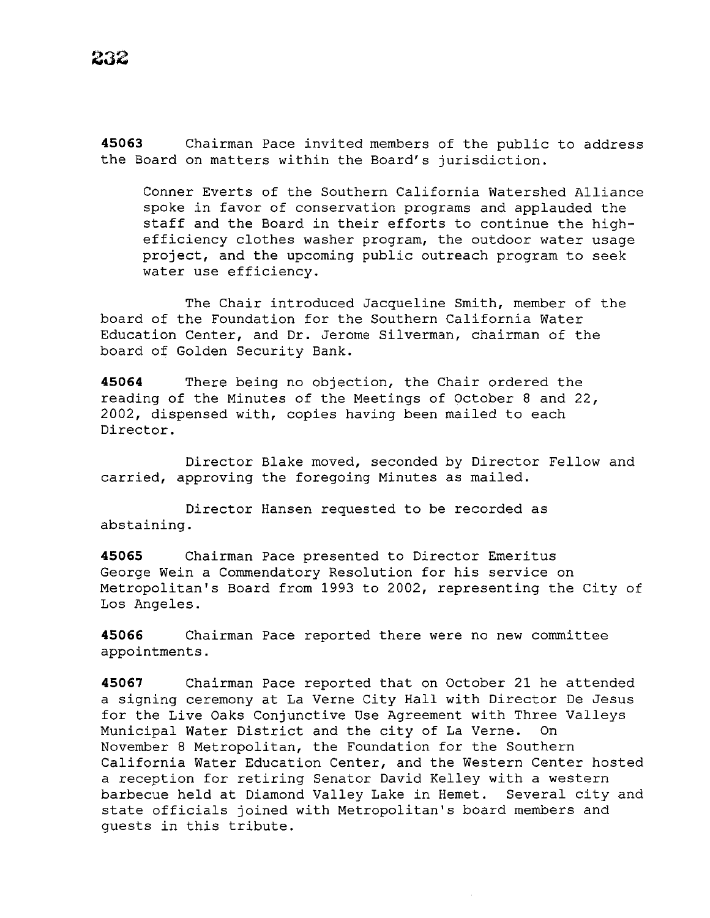**45063** Chairman Pace invited members of the public to address the Board on matters within the Board's jurisdiction.

Conner Everts of the Southern California Watershed Alliance spoke in favor of conservation programs and applauded the staff and the Board in their efforts to continue the highefficiency clothes washer program, the outdoor water usage project, and the upcoming public outreach program to seek water use efficiency.

The Chair introduced Jacqueline Smith, member of the board of the Foundation for the Southern California Water Education Center, and Dr. Jerome Silverman, chairman of the board of Golden Security Bank.

**45064** There being no objection, the Chair ordered the reading of the Minutes of the Meetings of October 8 and 22, 2002, dispensed with, copies having been mailed to each Director.

Director Blake moved, seconded by Director Fellow and carried, approving the foregoing Minutes as mailed.

Director Hansen requested to be recorded as abstaining.

**45065** Chairman Pace presented to Director Emeritus George Wein a Commendatory Resolution for his service on Metropolitan's Board from 1993 to 2002, representing the City of Los Angeles.

**45066** Chairman Pace reported there were no new committee appointments.

**45067** Chairman Pace reported that on October 21 he attended a signing ceremony at La Verne City Hall with Director De Jesus for the Live Oaks Conjunctive Use Agreement with Three Valleys Municipal Water District and the city of La Verne. On November 8 Metropolitan, the Foundation for the Southern California Water Education Center, and the Western Center hosted a reception for retiring Senator David Kelley with a western barbecue held at Diamond Valley Lake in Hemet. Several city and state officials joined with Metropolitan's board members and guests in this tribute.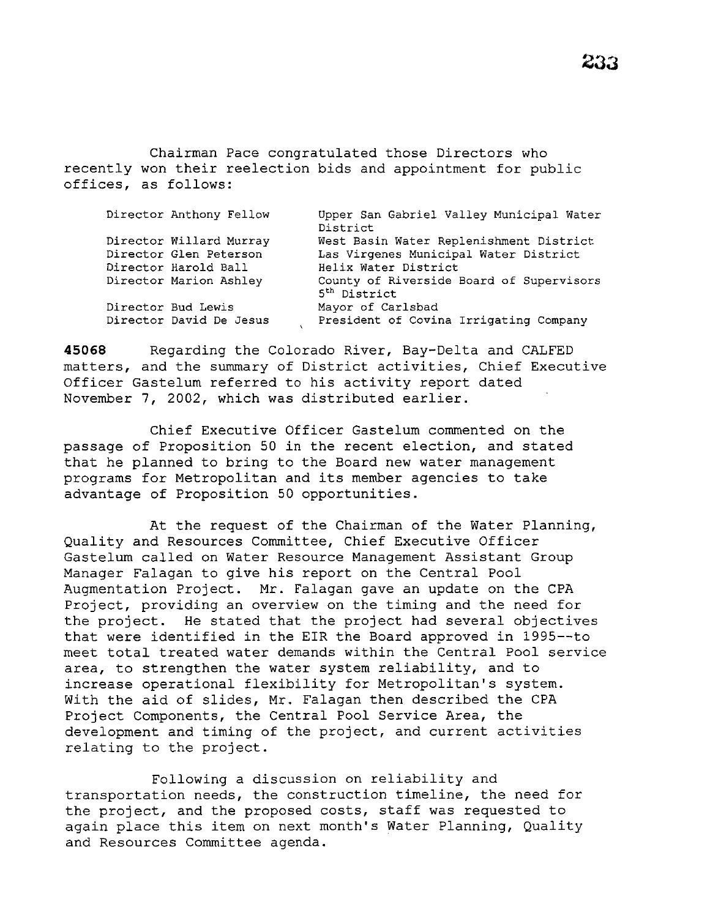Chairman Pace congratulated those Directors who recently won their reelection bids and appointment for public offices, as follows:

| Director Anthony Fellow | Upper San Gabriel Valley Municipal Water<br>District                 |
|-------------------------|----------------------------------------------------------------------|
| Director Willard Murray | West Basin Water Replenishment District                              |
| Director Glen Peterson  | Las Virgenes Municipal Water District                                |
| Director Harold Ball    | Helix Water District                                                 |
| Director Marion Ashley  | County of Riverside Board of Supervisors<br>5 <sup>th</sup> District |
| Director Bud Lewis      | Mayor of Carlsbad                                                    |
| Director David De Jesus | President of Covina Irrigating Company                               |

**45068** Regarding the Colorado River, Bay-Delta and CALFED matters, and the summary of District activities, Chief Executive Officer Gastelum referred to his activity report dated November 7, 2002, which was distributed earlier.

Chief Executive Officer Gastelum commented on the passage of Proposition 50 in the recent election, and stated that he planned to bring to the Board new water management programs for Metropolitan and its member agencies to take advantage of Proposition 50 opportunities.

At the request of the Chairman of the Water Planning, Quality and Resources Committee, Chief Executive Officer Gastelum called on Water Resource Management Assistant Group Manager Falagan to give his report on the Central Pool Augmentation Project. Mr. Falagan gave an update on the CPA Project, providing an overview on the timing and the need for the project. He stated that the project had several objectives that were identified in the EIR the Board approved in 1995--to meet total treated water demands within the Central Pool service area, to strengthen the water system reliability, and to increase operational flexibility for Metropolitan's system. With the aid of slides, Mr. Falagan then described the CPA Project Components, the Central Pool Service Area, the development and timing of the project, and current activities relating to the project.

Following a discussion on reliability and transportation needs, the construction timeline, the need for the project, and the proposed costs, staff was requested to again place this item on next month's Water Planning, Quality and Resources Committee agenda.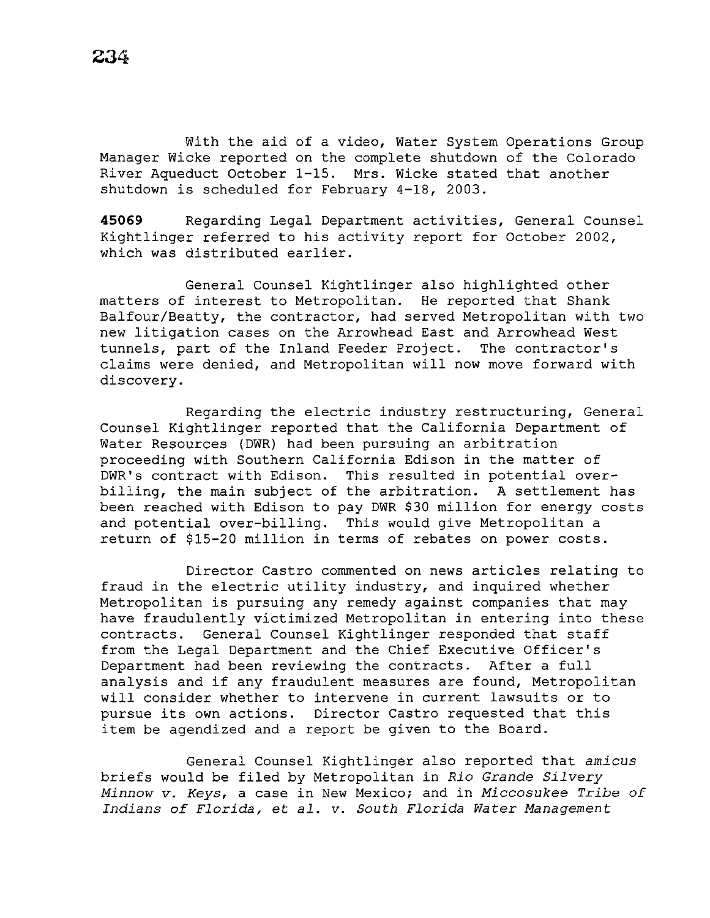With the aid of a video, Water System Operations Group Manager Wicke reported on the complete shutdown of the Colorado River Aqueduct October 1-15. Mrs. Wicke stated that another shutdown is scheduled for February 4-18, 2003.

**45069** Regarding Legal Department activities, General Counsel Kightlinger referred to his activity report for October 2002, which was distributed earlier.

General Counsel Kightlinger also highlighted other matters of interest to Metropolitan. He reported that Shank Balfour/Beatty, the contractor, had served Metropolitan with two new litigation cases on the Arrowhead East and Arrowhead West tunnels, part of the Inland Feeder Project. The contractor's claims were denied, and Metropolitan will now move forward with discovery.

Regarding the electric industry restructuring, General Counsel Kightlinger reported that the California Department of Water Resources (DWR) had been pursuing an arbitration proceeding with Southern California Edison in the matter of DWR's contract with Edison. This resulted in potential overbilling, the main subject of the arbitration. A settlement has been reached with Edison to pay DWR \$30 million for energy costs and potential over-billing. This would give Metropolitan a return of \$15-20 million in terms of rebates on power costs.

Director Castro commented on news articles relating to fraud in the electric utility industry, and inquired whether Metropolitan is pursuing any remedy against companies that may have fraudulently victimized Metropolitan in entering into these contracts. General Counsel Kightlinger responded that staff from the Legal Department and the Chief Executive Officer's Department had been reviewing the contracts. After a full analysis and if any fraudulent measures are found, Metropolitan will consider whether to intervene in current lawsuits or to pursue its own actions. Director Castro requested that this item be agendized and a report be given to the Board.

General Counsel Kightlinger also reported that *amicus*  briefs would be filed by Metropolitan in *Rio* Grande *Silvery Minnow v. Keys,* a case in New Mexico; and in *Miccosukee Tribe of Indians of Florida,* et *al. v. South Florida Water Management*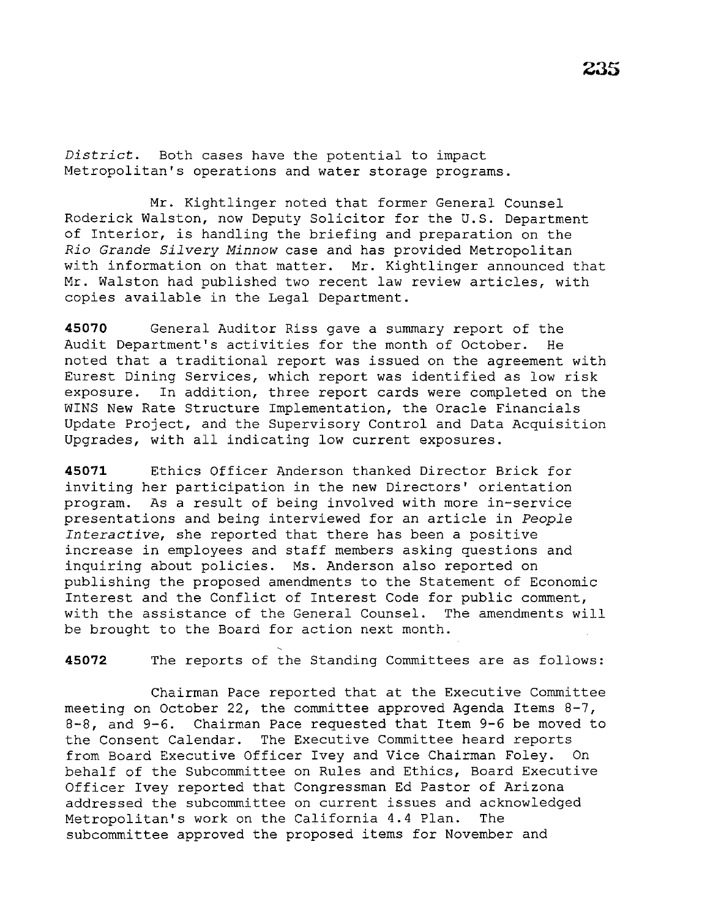*District.* Both cases have the potential to impact Metropolitan's operations and water storage programs.

Mr. Kightlinger noted that former General Counsel Roderick Walston, now Deputy Solicitor for the U.S. Department of Interior, is handling the briefing and preparation on the *Rio Grande Silvery Minnow* case and has provided Metropolitan with information on that matter. Mr. Kightlinger announced that Mr. Walston had published two recent law review articles, with copies available in the Legal Department.

**45070** General Auditor Riss gave a summary report of the Audit Department's activities for the month of October. He noted that a traditional report was issued on the agreement with Eurest Dining Services, which report was identified as low risk exposure. In addition, three report cards were completed on the WINS New Rate Structure Implementation, the Oracle Financials Update Project, and the Supervisory Control and Data Acquisition Upgrades, with all indicating low current exposures.

**45071** Ethics Officer Anderson thanked Director Brick for inviting her participation in the new Directors' orientation program. As a result of being involved with more in-service presentations and being interviewed for an article in *People Interactive,* she reported that there has been a positive increase in employees and staff members asking questions and inquiring about policies. Ms. Anderson also reported on publishing the proposed amendments to the Statement of Economic Interest and the Conflict of Interest Code for public comment, with the assistance of the General Counsel. The amendments will be brought to the Board for action next month.

**45072** The reports of the Standing Committees are as follows:

Chairman Pace reported that at the Executive Committee meeting on October 22, the committee approved Agenda Items 8-7, 8-8, and 9-6. Chairman Pace requested that Item 9-6 be moved to the Consent Calendar. The Executive Committee heard reports from Board Executive Officer Ivey and Vice Chairman Foley. On behalf of the Subcommittee on Rules and Ethics, Board Executive Officer Ivey reported that Congressman Ed Pastor of Arizona addressed the subcommittee on current issues and acknowledged Metropolitan's work on the California 4.4 Plan. The subcommittee approved the proposed items for November and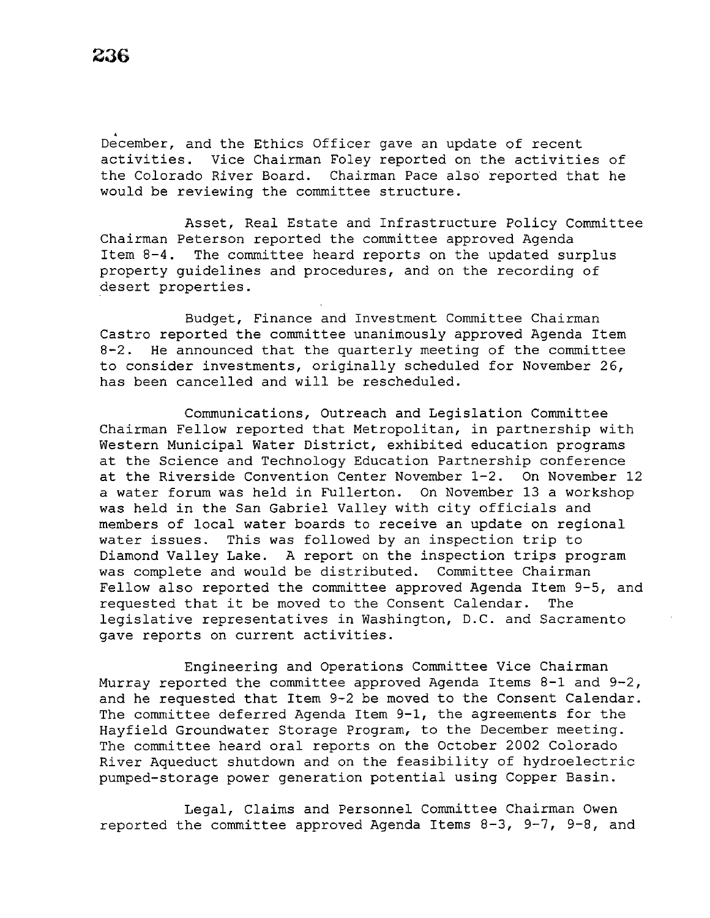December, and the Ethics Officer gave an update of recent activities. Vice Chairman Foley reported on the activities of the Colorado River Board. Chairman Pace also reported that he would be reviewing the committee structure.

Asset, Real Estate and Infrastructure Policy Committee Chairman Peterson reported the committee approved Agenda Item 8-4. The committee heard reports on the updated surplus property guidelines and procedures, and on the recording of desert properties.

Budget, Finance and Investment Committee Chairman Castro reported the committee unanimously approved Agenda Item 8-2. He announced that the quarterly meeting of the committee to consider investments, originally scheduled for November 26, has been cancelled and will be rescheduled.

Communications, Outreach and Legislation Committee Chairman Fellow reported that Metropolitan, in partnership with Western Municipal Water District, exhibited education programs at the Science and Technology Education Partnership conference at the Riverside Convention Center November 1-2. On November 12 a water forum was held in Fullerton. On November 13 a workshop was held in the San Gabriel Valley with city officials and members of local water boards to receive an update on regional water issues. This was followed by an inspection trip to Diamond Valley Lake. A report on the inspection trips program was complete and would be distributed. Committee Chairman Fellow also reported the committee approved Agenda Item 9-5, and requested that it be moved to the Consent Calendar. The legislative representatives in Washington, D.C. and Sacramento gave reports on current activities.

Engineering and Operations Committee Vice Chairman Murray reported the committee approved Agenda Items 8-1 and 9-2, and he requested that Item 9-2 be moved to the Consent Calendar. The committee deferred Agenda Item 9-1, the agreements for the Hayfield Groundwater Storage Program, to the December meeting. The committee heard oral reports on the October 2002 Colorado River Aqueduct shutdown and on the feasibility of hydroelectric pumped-storage power generation potential using Copper Basin.

Legal, Claims and Personnel Committee Chairman Owen reported the committee approved Agenda Items 8-3, 9-7, 9-8, and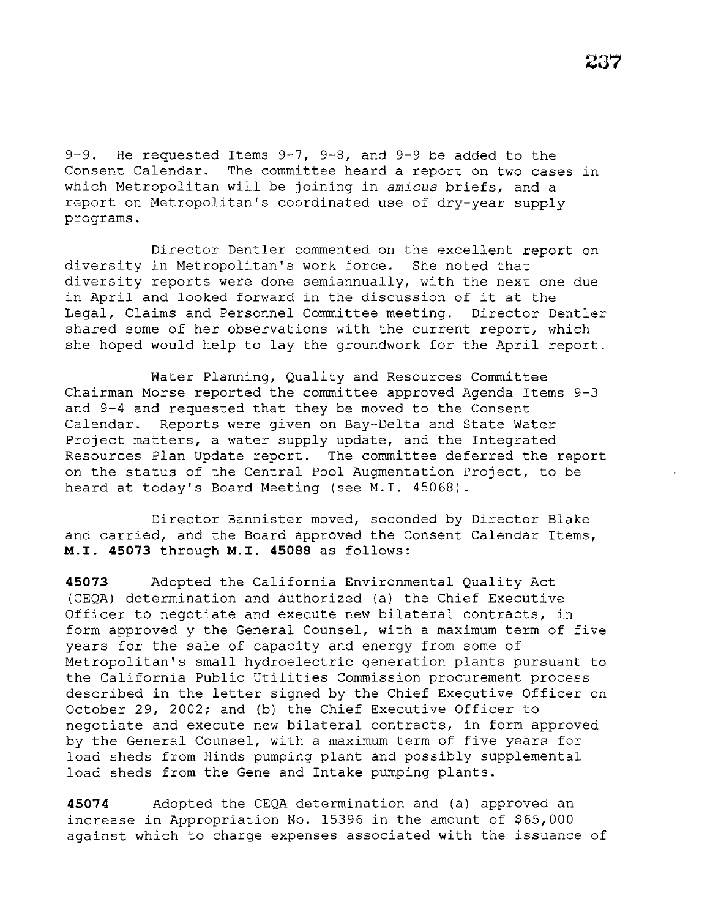9-9. He requested Items 9-7, 9-8, and 9-9 be added to the Consent Calendar. The committee heard a report on two cases in which Metropolitan will be joining in *amicus* briefs, and a report on Metropolitan's coordinated use of dry-year supply programs.

Director Dentler commented on the excellent report on diversity in Metropolitan's work force. She noted that diversity reports were done semiannually, with the next one due in April and looked forward in the discussion of it at the<br>Legal, Claims and Personnel Committee meeting. Director Dentler Legal, Claims and Personnel Committee meeting. shared some of her observations with the current report, which she hoped would help to lay the groundwork for the April report.

Water Planning, Quality and Resources Committee Chairman Morse reported the committee approved Agenda Items 9-3 and 9-4 and requested that they be moved to the Consent Calendar. Reports were given on Bay-Delta and State Water Project matters, a water supply update, and the Integrated Resources Plan Update report. The committee deferred the report on the status of the Central Pool Augmentation Project, to be heard at today's Board Meeting (see M.I. 45068).

Director Bannister moved, seconded by Director Blake and carried, and the Board approved the Consent Calendar Items, **M.I. 45073** through **M.I. 45088** as follows:

**45073** Adopted the California Environmental Quality Act (CEQA) determination and authorized (a) the Chief Executive Officer to negotiate and execute new bilateral contracts, in form approved y the General Counsel, with a maximum term of five years for the sale of capacity and energy from some of Metropolitan's small hydroelectric generation plants pursuant to the California Public Utilities Commission procurement process described in the letter signed by the Chief Executive Officer on October 29, 2002; and (b) the Chief Executive Officer to negotiate and execute new bilateral contracts, in form approved by the General Counsel, with a maximum term of five years for load sheds from Hinds pumping plant and possibly supplemental load sheds from the Gene and Intake pumping plants.

**45074** Adopted the CEQA determination and (a) approved an increase in Appropriation No. 15396 in the amount of \$65,000 against which to charge expenses associated with the issuance of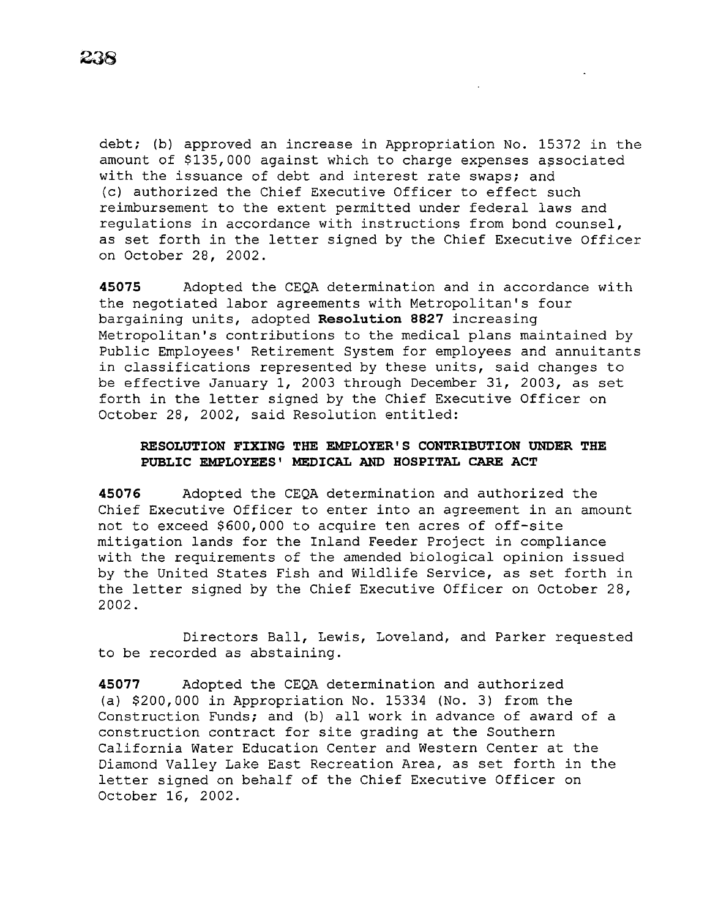debt; (b) approved an increase in Appropriation No. 15372 in the amount of \$135,000 against which to charge expenses associated with the issuance of debt and interest rate swaps; and (c) authorized the Chief Executive Officer to effect such reimbursement to the extent permitted under federal laws and regulations in accordance with instructions from bond counsel, as set forth in the letter signed by the Chief Executive Officer on October 28, 2002.

**45075** Adopted the CEQA determination and in accordance with the negotiated labor agreements with Metropolitan's four bargaining units, adopted **Reso1ution 8827** increasing Metropolitan's contributions to the medical plans maintained by Public Employees' Retirement System for employees and annuitants in classifications represented by these units, said changes to be effective January 1, 2003 through December 31, 2003, as set forth in the letter signed by the Chief Executive Officer on October 28, 2002, said Resolution entitled:

## **RESOLUTION FIXING THE EMPLOYER'S CONTRIBUTION UNDER THE PUBLIC EMPLOYEES' MEDICAL AND HOSPITAL CARE ACT**

**45076** Adopted the CEQA determination and authorized the Chief Executive Officer to enter into an agreement in an amount not to exceed \$600,000 to acquire ten acres of off-site mitigation lands for the Inland Feeder Project in compliance with the requirements of the amended biological opinion issued by the United States Fish and Wildlife Service, as set forth in the letter signed by the Chief Executive Officer on October 28, 2002.

Directors Ball, Lewis, Loveland, and Parker requested to be recorded as abstaining.

**45077** Adopted the CEQA determination and authorized (a) \$200,000 in Appropriation No. 15334 (No. 3) from the Construction Funds; and (b) all work in advance of award of a construction contract for site grading at the Southern California Water Education Center and Western Center at the Diamond Valley Lake East Recreation Area, as set forth in the letter signed on behalf of the Chief Executive Officer on October 16, 2002.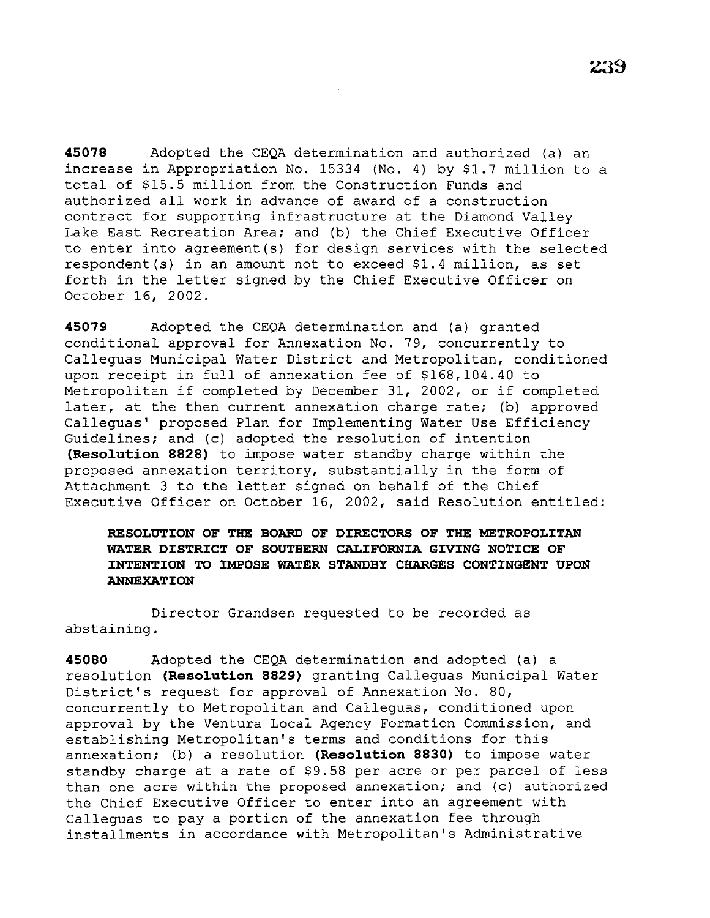**45078** Adopted the CEQA determination and authorized (a) an increase in Appropriation No. 15334 (No. 4) by \$1.7 million to a total of \$15.5 million from the Construction Funds and authorized all work in advance of award of a construction contract for supporting infrastructure at the Diamond Valley Lake East Recreation Area; and (b) the Chief Executive Officer to enter into agreement(s) for design services with the selected respondent(s) in an amount not to exceed \$1.4 million, as set forth in the letter signed by the Chief Executive Officer on October 16, 2002.

**45079** Adopted the CEQA determination and (a) granted conditional approval for Annexation No. 79, concurrently to Calleguas Municipal Water District and Metropolitan, conditioned upon receipt in full of annexation fee of \$168,104.40 to Metropolitan if completed by December 31, 2002, or if completed later, at the then current annexation charge rate; (b) approved Calleguas' proposed Plan for Implementing Water Use Efficiency Guidelines; and (c) adopted the resolution of intention **(Resolution 8828)** to impose water standby charge within the proposed annexation territory, substantially in the form of Attachment 3 to the letter signed on behalf of the Chief Executive Officer on October 16, 2002, *said* Resolution entitled:

# **RESOLUTION OF THE BOARD OF DIRECTORS OF THE METROPOLITAN WATER DISTRICT OF SOUTHERN CALIFORNIA GIVING NOTICE OF INTENTION TO IMPOSE WATER STANDBY CHARGES CONTINGENT UPON ANNEXATION**

Director Grandsen requested to be recorded as abstaining.

**45080** Adopted the CEQA determination and adopted (a) a resolution **(Resolution 8829)** granting Calleguas Municipal Water District's request for approval of Annexation No. 80, concurrently to Metropolitan and Calleguas, conditioned upon approval by the Ventura Local Agency Formation Commission, and establishing Metropolitan's terms and conditions for this annexation; (b) a resolution **(Resolution 8830)** to impose water standby charge at a rate of \$9.58 per acre or per parcel of less than one acre within the proposed annexation; and (c) authorized the Chief Executive Officer to enter into an agreement with Calleguas to pay a portion of the annexation fee through installments in accordance with Metropolitan's Administrative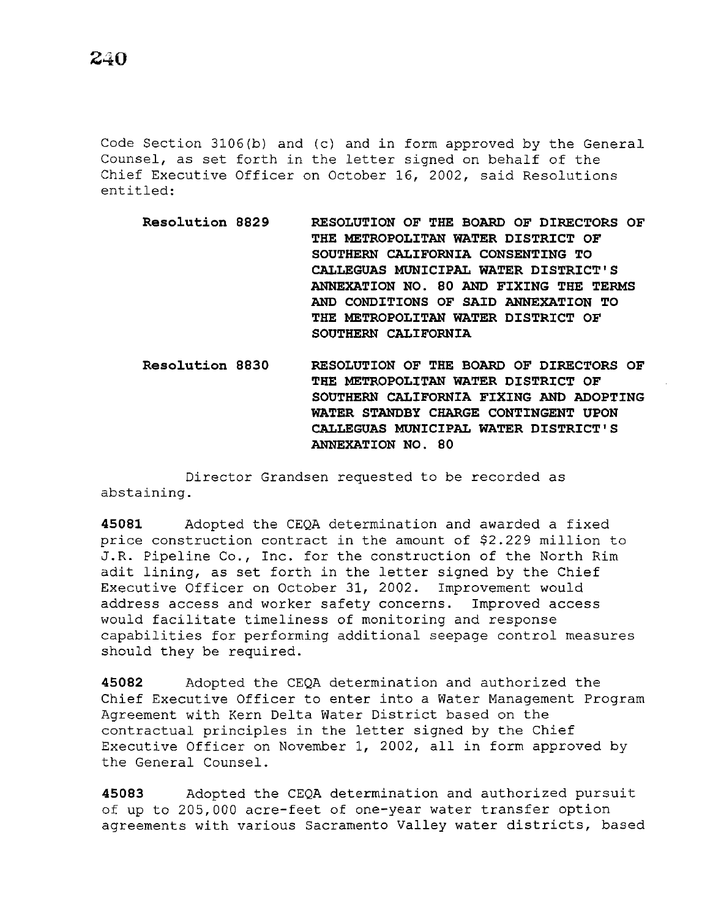Code Section 3106(b) and (c) and in form approved by the General Counsel, as set forth in the letter signed on behalf of the Chief Executive Officer on October 16, 2002, said Resolutions entitled:

- **Resolution 8829 RESOLUTION OF THE BOARD OF DIRECTORS OF THE METROPOLITAN WATER DISTRICT OF SOUTHERN CALIFORNIA CONSENTING TO CALLEGUAS MUNICIPAL WATER DISTRICT'S ANNEXATION NO. 80 AND FIXING THE TERMS AND CONDITIONS OF SAID ANNEXATION TO THE METROPOLITAN WATER DISTRICT OF SOUTHERN CALIFORNIA**
- **Resolution 8830 RESOLUTION OF THE BOARD OF DIRECTORS OF THE METROPOLITAN WATER DISTRICT OF SOUTHERN CALIFORNIA FIXING AND ADOPTING WATER STANDBY CHARGE CONTINGENT UPON CALLEGUAS MUNICIPAL WATER DISTRICT'S ANNEXATION NO. 80**

Director Grandsen requested to be recorded as abstaining.

**45081** Adopted the CEQA determination and awarded a fixed price construction contract in the amount of \$2.229 million to J.R. Pipeline Co., Inc. for the construction of the North Rim adit lining, as set forth in the letter signed by the Chief Executive Officer on October 31, 2002. Improvement would address access and worker safety concerns. Improved access would facilitate timeliness of monitoring and response capabilities for performing additional seepage control measures should they be required.

**45082** Adopted the CEQA determination and authorized the Chief Executive Officer to enter into a Water Management Program Agreement with Kern Delta Water District based on the contractual principles in the letter signed by the Chief Executive Officer on November 1, 2002, all in form approved by the General Counsel.

**45083** Adopted the CEQA determination and authorized pursuit of up to 205,000 acre-feet of one-year water transfer option agreements with various Sacramento Valley water districts, based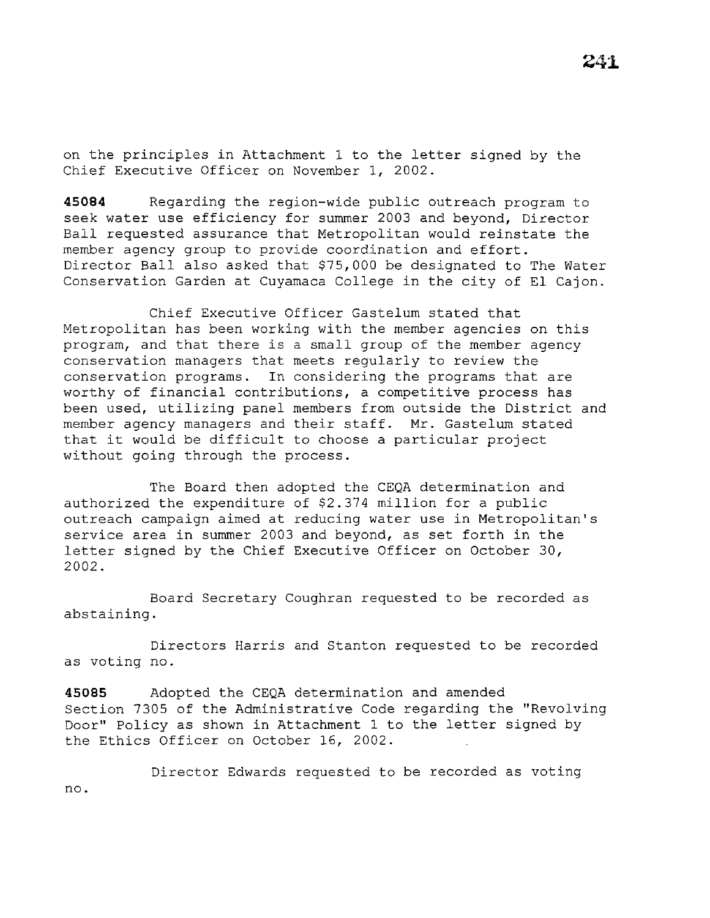on the principles in Attachment 1 to the letter signed by the Chief Executive Officer on November 1, 2002.

**45084** Regarding the region-wide public outreach program to seek water use efficiency for summer 2003 and beyond, Director Ball requested assurance that Metropolitan would reinstate the member agency group to provide coordination and effort. Director Ball also asked that \$75,000 be designated to The Water Conservation Garden at Cuyamaca College in the city of El Cajon.

Chief Executive Officer Gastelum stated that Metropolitan has been working with the member agencies on this program, and that there is a small group of the member agency conservation managers that meets regularly to review the conservation programs. In considering the programs that are worthy of financial contributions, a competitive process has been used, utilizing panel members from outside the District and member agency managers and their staff. Mr. Gastelum stated that it would be difficult to choose a particular project without going through the process.

The Board then adopted the CEQA determination and authorized the expenditure of \$2.374 million for a public outreach campaign aimed at reducing water use in Metropolitan's service area in summer 2003 and beyond, as set forth in the letter signed by the Chief Executive Officer on October 30, 2002.

Board Secretary Coughran requested to be recorded as abstaining.

Directors Harris and Stanton requested to be recorded as voting no.

**45085** Adopted the CEQA determination and amended Section 7305 of the Administrative Code regarding the "Revolving Door'' Policy as shown in Attachment 1 to the letter signed by the Ethics Officer on October 16, 2002.

Director Edwards requested to be recorded as voting no.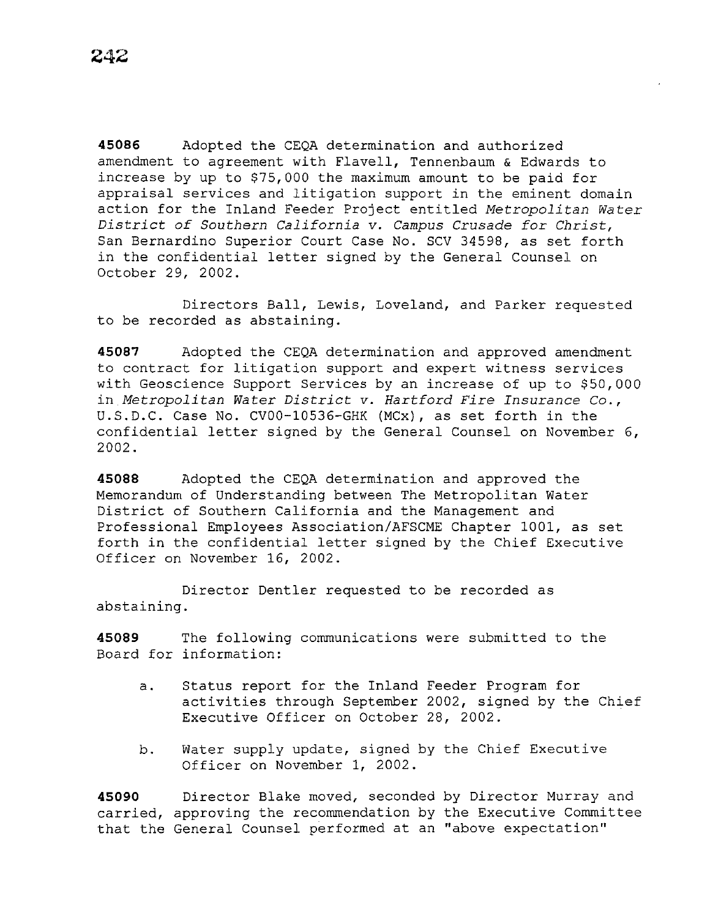**45086** Adopted the CEQA determination and authorized amendment to agreement with Flavell, Tennenbaum & Edwards to increase by up to \$75,000 the maximum amount to be paid for appraisal services and litigation support in the eminent domain action for the Inland Feeder Project entitled *Metropolitan Water District of Southern California v. Campus Crusade for Christ,*  San Bernardino Superior Court Case No. SCV 34598, as set forth in the confidential letter signed by the General Counsel on October 29, 2002.

Directors Ball, Lewis, Loveland, and Parker requested to be recorded as abstaining.

**45087** Adopted the CEQA determination and approved amendment to contract for litigation support and expert witness services with Geoscience Support Services by an increase of up to \$50,000 in *Metropolitan Water District* v. *Hartford Fire Insurance Co.,*  U.S.D.C. Case No. CV00-10536-GHK (MCx), as set forth in the confidential letter signed by the General Counsel on November 6, 2002.

**45088** Adopted the CEQA determination and approved the Memorandum of Understanding between The Metropolitan Water District of Southern California and the Management and Professional Employees Association/AFSCME Chapter 1001, as set forth in the confidential letter signed by the Chief Executive Officer on November 16, 2002.

Director Dentler requested to be recorded as abstaining.

**45089** The following communications were submitted to the Board for information:

- a. Status report for the Inland Feeder Program for activities through September 2002, signed by the Chief Executive Officer on October 28, 2002.
- b. Water supply update, signed by the Chief Executive Officer on November 1, 2002.

**45090** Director Blake moved, seconded by Director Murray and carried, approving the recommendation by the Executive Committee that the General Counsel performed at an "above expectation''